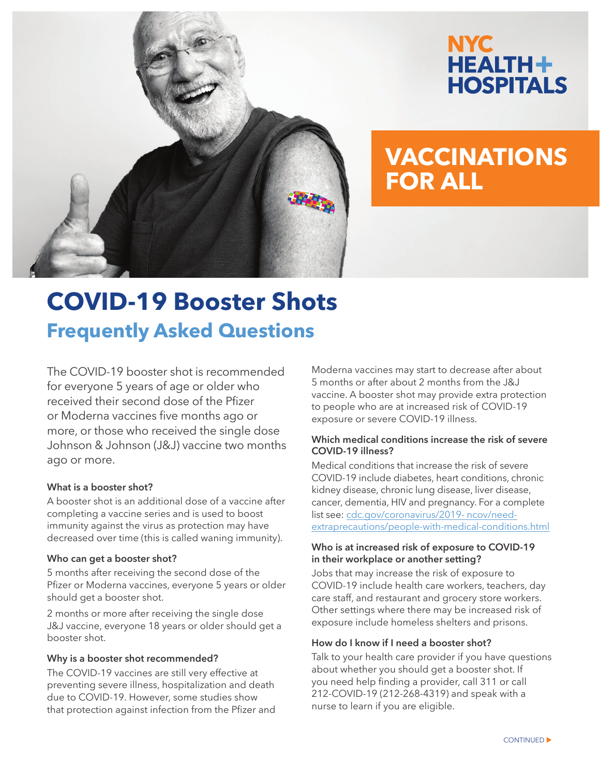

# NYC. **HEALTH+ HOSPITALS**

# **VACCINATIONS FOR ALL**

# **COVID-19 Booster Shots Frequently Asked Questions**

The COVID-19 booster shot is recommended for everyone 5 years of age or older who received their second dose of the Pfizer or Moderna vaccines five months ago or more, or those who received the single dose Johnson & Johnson (J&J) vaccine two months ago or more.

# **What is a booster shot?**

A booster shot is an additional dose of a vaccine after completing a vaccine series and is used to boost immunity against the virus as protection may have decreased over time (this is called waning immunity).

#### **Who can get a booster shot?**

5 months after receiving the second dose of the Pfizer or Moderna vaccines, everyone 5 years or older should get a booster shot.

2 months or more after receiving the single dose J&J vaccine, everyone 18 years or older should get a booster shot.

#### **Why is a booster shot recommended?**

The COVID-19 vaccines are still very effective at preventing severe illness, hospitalization and death due to COVID-19. However, some studies show that protection against infection from the Pfizer and Moderna vaccines may start to decrease after about 5 months or after about 2 months from the J&J vaccine. A booster shot may provide extra protection to people who are at increased risk of COVID-19 exposure or severe COVID-19 illness.

# **Which medical conditions increase the risk of severe COVID-19 illness?**

Medical conditions that increase the risk of severe COVID-19 include diabetes, heart conditions, chronic kidney disease, chronic lung disease, liver disease, cancer, dementia, HIV and pregnancy. For a complete list see: cdc.gov/coronavirus/2019- ncov/needextraprecautions/people-with-medical-conditions.html

#### **Who is at increased risk of exposure to COVID-19 in their workplace or another setting?**

Jobs that may increase the risk of exposure to COVID-19 include health care workers, teachers, day care staff, and restaurant and grocery store workers. Other settings where there may be increased risk of exposure include homeless shelters and prisons.

### **How do I know if I need a booster shot?**

Talk to your health care provider if you have questions about whether you should get a booster shot. If you need help finding a provider, call 311 or call 212-COVID-19 (212-268-4319) and speak with a nurse to learn if you are eligible.